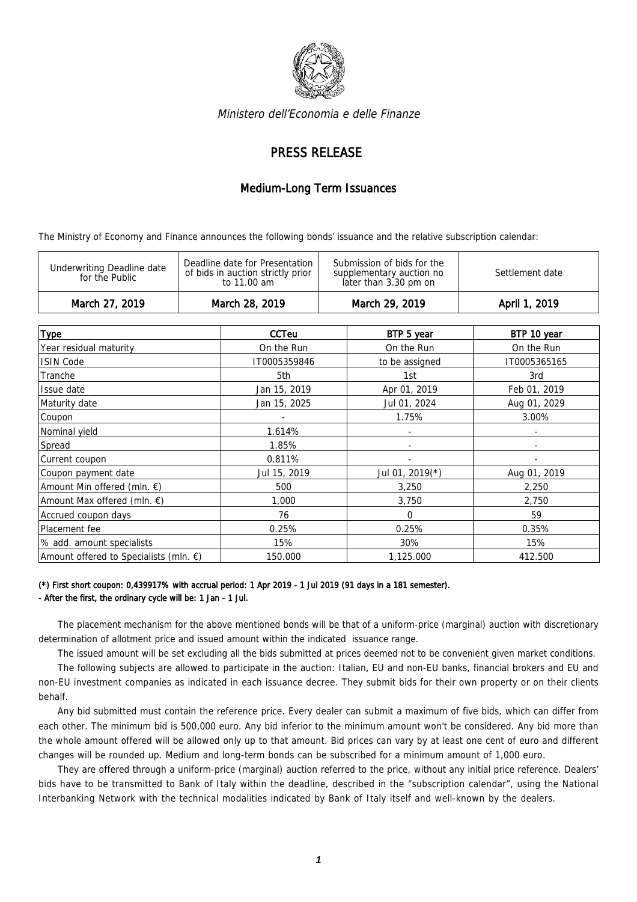

Ministero dell'Economia e delle Finanze

## PRESS RELEASE

## Medium-Long Term Issuances

The Ministry of Economy and Finance announces the following bonds' issuance and the relative subscription calendar:

| Deadline date for Presentation<br>Submission of bids for the<br>Underwriting Deadline date<br>of bids in auction strictly prior<br>Settlement date<br>supplementary auction no<br>for the Public<br>later than 3.30 pm on<br>to 11.00 am | March 27, 2019 | March 28, 2019 | March 29, 2019 | April 1, 2019 |
|------------------------------------------------------------------------------------------------------------------------------------------------------------------------------------------------------------------------------------------|----------------|----------------|----------------|---------------|
|                                                                                                                                                                                                                                          |                |                |                |               |

| <b>Type</b>                                      | <b>CCTeu</b> | BTP 5 year      | BTP 10 year  |
|--------------------------------------------------|--------------|-----------------|--------------|
| Year residual maturity                           | On the Run   | On the Run      | On the Run   |
|                                                  |              |                 |              |
| <b>ISIN Code</b>                                 | IT0005359846 | to be assigned  | IT0005365165 |
| Tranche                                          | 5th          | 1st             | 3rd          |
| Issue date                                       | Jan 15, 2019 | Apr 01, 2019    | Feb 01, 2019 |
| Maturity date                                    | Jan 15, 2025 | Jul 01, 2024    | Aug 01, 2029 |
| Coupon                                           |              | 1.75%           | 3.00%        |
| Nominal yield                                    | 1.614%       |                 |              |
| Spread                                           | 1.85%        |                 |              |
| Current coupon                                   | 0.811%       |                 |              |
| Coupon payment date                              | Jul 15, 2019 | Jul 01, 2019(*) | Aug 01, 2019 |
| Amount Min offered (mln. $\epsilon$ )            | 500          | 3,250           | 2,250        |
| Amount Max offered (mln. $\epsilon$ )            | 1,000        | 3,750           | 2,750        |
| Accrued coupon days                              | 76           | $\Omega$        | 59           |
| Placement fee                                    | 0.25%        | 0.25%           | 0.35%        |
| % add. amount specialists                        | 15%          | 30%             | 15%          |
| Amount offered to Specialists (mln. $\epsilon$ ) | 150.000      | 1,125.000       | 412.500      |

## (\*) First short coupon: 0,439917% with accrual period: 1 Apr 2019 - 1 Jul 2019 (91 days in a 181 semester). - After the first, the ordinary cycle will be: 1 Jan - 1 Jul.

The placement mechanism for the above mentioned bonds will be that of a uniform-price (marginal) auction with discretionary determination of allotment price and issued amount within the indicated issuance range.

The issued amount will be set excluding all the bids submitted at prices deemed not to be convenient given market conditions.

The following subjects are allowed to participate in the auction: Italian, EU and non-EU banks, financial brokers and EU and non-EU investment companies as indicated in each issuance decree. They submit bids for their own property or on their clients behalf.

Any bid submitted must contain the reference price. Every dealer can submit a maximum of five bids, which can differ from each other. The minimum bid is 500,000 euro. Any bid inferior to the minimum amount won't be considered. Any bid more than the whole amount offered will be allowed only up to that amount. Bid prices can vary by at least one cent of euro and different changes will be rounded up. Medium and long-term bonds can be subscribed for a minimum amount of 1,000 euro.

They are offered through a uniform-price (marginal) auction referred to the price, without any initial price reference. Dealers' bids have to be transmitted to Bank of Italy within the deadline, described in the "subscription calendar", using the National Interbanking Network with the technical modalities indicated by Bank of Italy itself and well-known by the dealers.